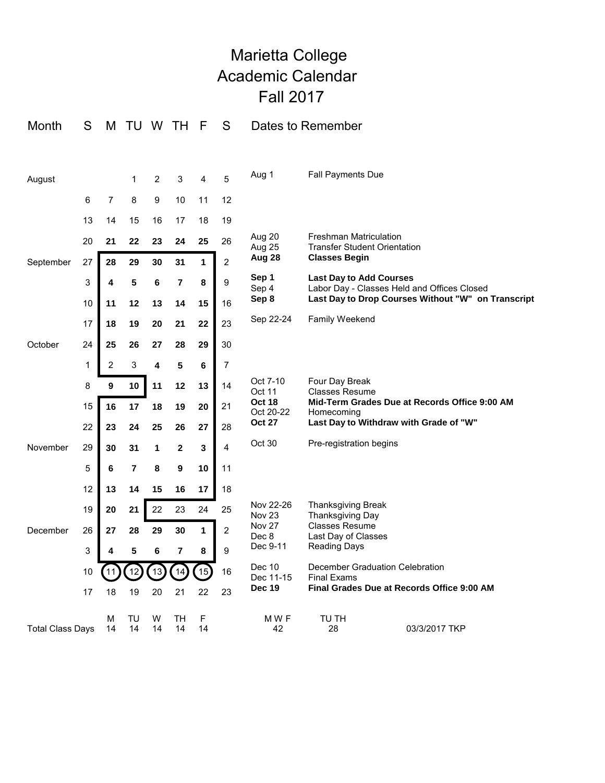## Marietta College Academic Calendar Fall 2017

| Month                   | S           | M              | TU             |         | W TH             | -F           | S              |                                             | Dates to Remember                                                                                                                   |
|-------------------------|-------------|----------------|----------------|---------|------------------|--------------|----------------|---------------------------------------------|-------------------------------------------------------------------------------------------------------------------------------------|
|                         |             |                |                |         |                  |              |                |                                             |                                                                                                                                     |
| August                  |             |                | 1              | 2       | 3                | 4            | 5              | Aug 1                                       | <b>Fall Payments Due</b>                                                                                                            |
|                         | 6           | $\overline{7}$ | 8              | 9       | 10               | 11           | 12             |                                             |                                                                                                                                     |
|                         | 13          | 14             | 15             | 16      | 17               | 18           | 19             |                                             |                                                                                                                                     |
|                         | 20          | 21             | 22             | 23      | 24               | 25           | 26             | Aug 20<br>Aug 25                            | <b>Freshman Matriculation</b><br><b>Transfer Student Orientation</b>                                                                |
| September               | 27          | 28             | 29             | 30      | 31               | $\mathbf{1}$ | $\overline{c}$ | Aug 28                                      | <b>Classes Begin</b>                                                                                                                |
|                         | 3           | 4              | 5              | 6       | 7                | 8            | 9              | Sep 1<br>Sep 4<br>Sep 8                     | <b>Last Day to Add Courses</b><br>Labor Day - Classes Held and Offices Closed<br>Last Day to Drop Courses Without "W" on Transcript |
|                         | 10          | 11             | 12             | 13      | 14               | 15           | 16             |                                             |                                                                                                                                     |
|                         | 17          | 18             | 19             | 20      | 21               | 22           | 23             | Sep 22-24                                   | <b>Family Weekend</b>                                                                                                               |
| October                 | 24          | 25             | 26             | 27      | 28               | 29           | 30             |                                             |                                                                                                                                     |
|                         | $\mathbf 1$ | $\overline{c}$ | 3              | 4       | 5                | 6            | $\overline{7}$ |                                             |                                                                                                                                     |
|                         | 8           | $\overline{9}$ | 10             | 11      | 12               | 13           | 14             | Oct 7-10<br>Oct 11                          | Four Day Break<br><b>Classes Resume</b>                                                                                             |
|                         | 15          | 16             | 17             | 18      | 19               | 20           | 21             | <b>Oct 18</b><br>Oct 20-22<br><b>Oct 27</b> | Mid-Term Grades Due at Records Office 9:00 AM<br>Homecoming<br>Last Day to Withdraw with Grade of "W"                               |
|                         | 22          | 23             | 24             | 25      | 26               | 27           | 28             |                                             |                                                                                                                                     |
| November                | 29          | 30             | 31             | 1       | $\boldsymbol{2}$ | 3            | $\overline{4}$ | Oct 30                                      | Pre-registration begins                                                                                                             |
|                         | 5           | 6              | $\overline{7}$ | 8       | 9                | 10           | 11             |                                             |                                                                                                                                     |
|                         | 12          | 13             | 14             | 15      | 16               | 17           | 18             |                                             |                                                                                                                                     |
|                         | 19          | 20             | 21             | 22      | 23               | 24           | 25             | Nov 22-26<br><b>Nov 23</b>                  | <b>Thanksgiving Break</b><br>Thanksgiving Day                                                                                       |
| December                | 26          | 27             | 28             | 29      | 30               | $\mathbf{1}$ | $\overline{c}$ | <b>Nov 27</b><br>Dec 8                      | <b>Classes Resume</b><br>Last Day of Classes                                                                                        |
|                         | 3           | 4              | 5              | 6       | 7                | 8            | 9              | Dec 9-11                                    | <b>Reading Days</b>                                                                                                                 |
|                         | 10          | 11             | 12             | 13      | 14               | 15           | 16             | Dec 10<br>Dec 11-15                         | December Graduation Celebration<br><b>Final Exams</b>                                                                               |
|                         | 17          | 18             | 19             | 20      | 21               | 22           | 23             | <b>Dec 19</b>                               | Final Grades Due at Records Office 9:00 AM                                                                                          |
| <b>Total Class Days</b> |             | м<br>14        | TU<br>14       | W<br>14 | TН<br>14         | F<br>14      |                | MWF<br>42                                   | TU TH<br>28<br>03/3/2017 TKP                                                                                                        |